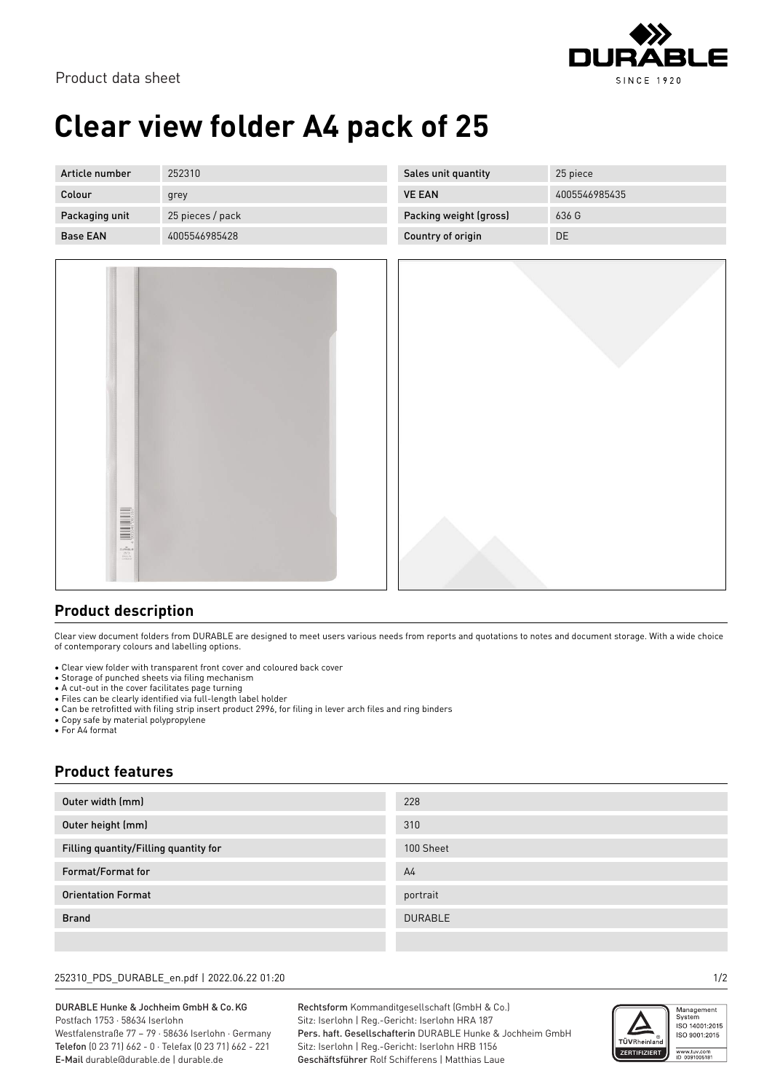

# **Clear view folder A4 pack of 25**

| Article number  | 252310           | Sales unit quantity    | 25 piece      |
|-----------------|------------------|------------------------|---------------|
| Colour          | grey             | <b>VE EAN</b>          | 4005546985435 |
| Packaging unit  | 25 pieces / pack | Packing weight (gross) | 636 G         |
| <b>Base EAN</b> | 4005546985428    | Country of origin      | DE            |



### **Product description**

Clear view document folders from DURABLE are designed to meet users various needs from reports and quotations to notes and document storage. With a wide choice of contemporary colours and labelling options.

- Clear view folder with transparent front cover and coloured back cover
- Storage of punched sheets via filing mechanism
- A cut-out in the cover facilitates page turning
- Files can be clearly identified via full-length label holder
- Can be retrofitted with filing strip insert product 2996, for filing in lever arch files and ring binders • Copy safe by material polypropylene
- For A4 format

### **Product features**

| Outer width (mm)                      | 228            |
|---------------------------------------|----------------|
| Outer height (mm)                     | 310            |
| Filling quantity/Filling quantity for | 100 Sheet      |
| Format/Format for                     | A <sub>4</sub> |
| <b>Orientation Format</b>             | portrait       |
| <b>Brand</b>                          | <b>DURABLE</b> |
|                                       |                |

#### 252310\_PDS\_DURABLE\_en.pdf | 2022.06.22 01:20 1/2

DURABLE Hunke & Jochheim GmbH & Co.KG Postfach 1753 · 58634 Iserlohn Westfalenstraße 77 – 79 · 58636 Iserlohn · Germany Telefon (0 23 71) 662 - 0 · Telefax (0 23 71) 662 - 221 E-Mail durable@durable.de | durable.de

Rechtsform Kommanditgesellschaft (GmbH & Co.) Sitz: Iserlohn | Reg.-Gericht: Iserlohn HRA 187 Pers. haft. Gesellschafterin DURABLE Hunke & Jochheim GmbH Sitz: Iserlohn | Reg.-Gericht: Iserlohn HRB 1156 Geschäftsführer Rolf Schifferens | Matthias Laue